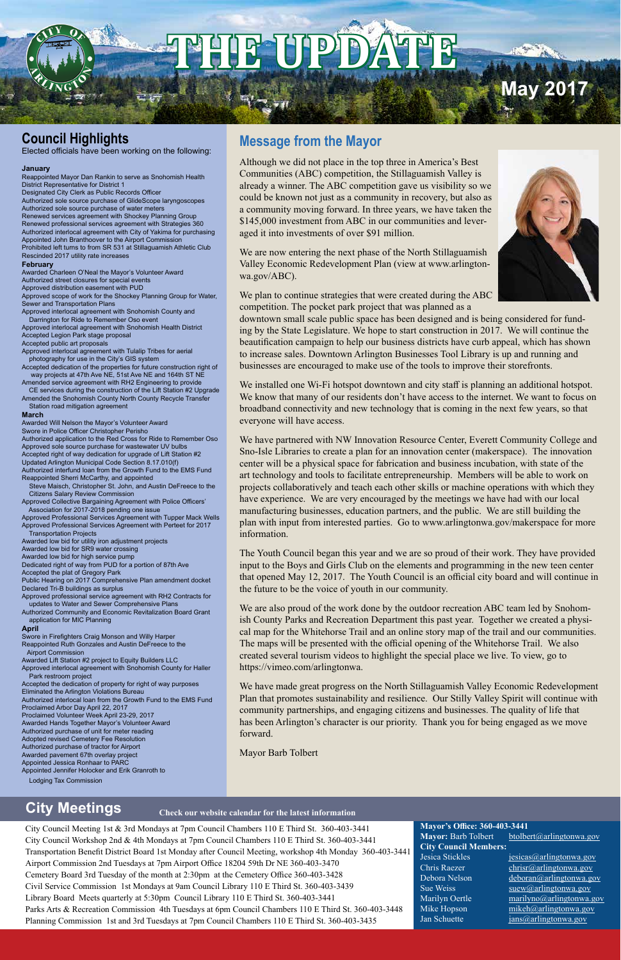City Council Meeting 1st & 3rd Mondays at 7pm Council Chambers 110 E Third St. 360-403-3441 City Council Workshop 2nd & 4th Mondays at 7pm Council Chambers 110 E Third St. 360-403-3441 Transportation Benefit District Board 1st Monday after Council Meeting, workshop 4th Monday 360-403-3441 Airport Commission 2nd Tuesdays at 7pm Airport Office 18204 59th Dr NE 360-403-3470 Cemetery Board 3rd Tuesday of the month at 2:30pm at the Cemetery Office 360-403-3428 Civil Service Commission 1st Mondays at 9am Council Library 110 E Third St. 360-403-3439 Library Board Meets quarterly at 5:30pm Council Library 110 E Third St. 360-403-3441 Parks Arts & Recreation Commission 4th Tuesdays at 6pm Council Chambers 110 E Third St. 360-403-3448 Planning Commission 1st and 3rd Tuesdays at 7pm Council Chambers 110 E Third St. 360-403-3435

**Mayor's Office: 360-403-3441** Mayor: Barb Tolbert btolbert@arlingtonwa.gov **City Council Members:** Jesica Stickles jesicas@arlingtonwa.gov Chris Raezer chrisr@arlingtonwa.gov Debora Nelson deboran@arlingtonwa.gov Sue Weiss  $s$  suew $\omega$ arlingtonwa.gov

Marilyn Oertle marilyno@arlingtonwa.gov Mike Hopson mikeh@arlingtonwa.gov Jan Schuette jans@arlingtonwa.gov

# **City Meetings**

# **Message from the Mayor**

We installed one Wi-Fi hotspot downtown and city staff is planning an additional hotspot. We know that many of our residents don't have access to the internet. We want to focus on broadband connectivity and new technology that is coming in the next few years, so that everyone will have access.

Although we did not place in the top three in America's Best Communities (ABC) competition, the Stillaguamish Valley is already a winner. The ABC competition gave us visibility so we could be known not just as a community in recovery, but also as a community moving forward. In three years, we have taken the \$145,000 investment from ABC in our communities and leveraged it into investments of over \$91 million.



**May 201** 

We are now entering the next phase of the North Stillaguamish Valley Economic Redevelopment Plan (view at www.arlingtonwa.gov/ABC).

We plan to continue strategies that were created during the ABC competition. The pocket park project that was planned as a

downtown small scale public space has been designed and is being considered for funding by the State Legislature. We hope to start construction in 2017. We will continue the beautification campaign to help our business districts have curb appeal, which has shown to increase sales. Downtown Arlington Businesses Tool Library is up and running and businesses are encouraged to make use of the tools to improve their storefronts.

We have partnered with NW Innovation Resource Center, Everett Community College and Sno-Isle Libraries to create a plan for an innovation center (makerspace). The innovation center will be a physical space for fabrication and business incubation, with state of the art technology and tools to facilitate entrepreneurship. Members will be able to work on projects collaboratively and teach each other skills or machine operations with which they have experience. We are very encouraged by the meetings we have had with our local manufacturing businesses, education partners, and the public. We are still building the plan with input from interested parties. Go to www.arlingtonwa.gov/makerspace for more information.

The Youth Council began this year and we are so proud of their work. They have provided input to the Boys and Girls Club on the elements and programming in the new teen center that opened May 12, 2017. The Youth Council is an official city board and will continue in the future to be the voice of youth in our community.

We are also proud of the work done by the outdoor recreation ABC team led by Snohomish County Parks and Recreation Department this past year. Together we created a physical map for the Whitehorse Trail and an online story map of the trail and our communities. The maps will be presented with the official opening of the Whitehorse Trail. We also created several tourism videos to highlight the special place we live. To view, go to https://vimeo.com/arlingtonwa.

We have made great progress on the North Stillaguamish Valley Economic Redevelopment Plan that promotes sustainability and resilience. Our Stilly Valley Spirit will continue with community partnerships, and engaging citizens and businesses. The quality of life that has been Arlington's character is our priority. Thank you for being engaged as we move forward.

Mayor Barb Tolbert

# **Council Highlights**

Elected officials have been working on the following:

#### **January**

Reappointed Mayor Dan Rankin to serve as Snohomish Health District Representative for District 1

Designated City Clerk as Public Records Officer Authorized sole source purchase of GlideScope laryngoscopes Authorized sole source purchase of water meters Renewed services agreement with Shockey Planning Group Renewed professional services agreement with Strategies 360 Authorized interlocal agreement with City of Yakima for purchasing Appointed John Branthoover to the Airport Commission Prohibited left turns to from SR 531 at Stillaguamish Athletic Club Rescinded 2017 utility rate increases

#### **February**

Awarded Charleen O'Neal the Mayor's Volunteer Award Authorized street closures for special events Approved distribution easement with PUD Approved scope of work for the Shockey Planning Group for Water,

Sewer and Transportation Plans Approved interlocal agreement with Snohomish County and

 Darrington for Ride to Remember Oso event Approved interlocal agreement with Snohomish Health District Accepted Legion Park stage proposal

Accepted public art proposals

Approved interlocal agreement with Tulalip Tribes for aerial photography for use in the City's GIS system

Accepted dedication of the properties for future construction right of way projects at 47th Ave NE, 51st Ave NE and 164th ST NE

Amended service agreement with RH2 Engineering to provide CE services during the construction of the Lift Station #2 Upgrade Amended the Snohomish County North County Recycle Transfer

Station road mitigation agreement

#### **March**

Awarded Will Nelson the Mayor's Volunteer Award Swore in Police Officer Christopher Perisho

Authorized application to the Red Cross for Ride to Remember Oso Approved sole source purchase for wastewater UV bulbs Accepted right of way dedication for upgrade of Lift Station #2 Updated Arlington Municipal Code Section 8.17.010(f) Authorized interfund loan from the Growth Fund to the EMS Fund Reappointed Sherri McCarthy, and appointed

 Steve Maisch, Christopher St. John, and Austin DeFreece to the Citizens Salary Review Commission

Approved Collective Bargaining Agreement with Police Officers' Association for 2017-2018 pending one issue

Approved Professional Services Agreement with Tupper Mack Wells Approved Professional Services Agreement with Perteet for 2017 Transportation Projects

Awarded low bid for utility iron adjustment projects

Awarded low bid for SR9 water crossing

Awarded low bid for high service pump

Dedicated right of way from PUD for a portion of 87th Ave

Accepted the plat of Gregory Park

Public Hearing on 2017 Comprehensive Plan amendment docket Declared Tri-B buildings as surplus

Approved professional service agreement with RH2 Contracts for updates to Water and Sewer Comprehensive Plans

Authorized Community and Economic Revitalization Board Grant application for MIC Planning

#### **April**

Swore in Firefighters Craig Monson and Willy Harper Reappointed Ruth Gonzales and Austin DeFreece to the Airport Commission

Awarded Lift Station #2 project to Equity Builders LLC Approved interlocal agreement with Snohomish County for Haller

 Park restroom project Accepted the dedication of property for right of way purposes

Eliminated the Arlington Violations Bureau Authorized interlocal loan from the Growth Fund to the EMS Fund Proclaimed Arbor Day April 22, 2017

Proclaimed Volunteer Week April 23-29, 2017 Awarded Hands Together Mayor's Volunteer Award Authorized purchase of unit for meter reading

Adopted revised Cemetery Fee Resolution Authorized purchase of tractor for Airport Awarded pavement 67th overlay project Appointed Jessica Ronhaar to PARC Appointed Jennifer Holocker and Erik Granroth to Lodging Tax Commission

#### **Check our website calendar for the latest information**

# **THE UPDATE**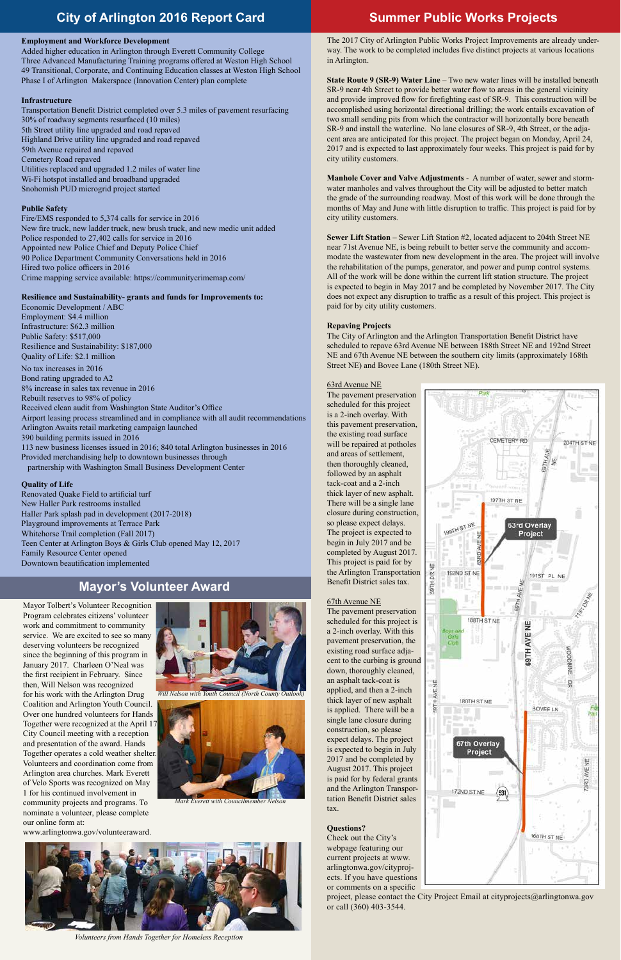# **Summer Public Works Projects**

# **Mayor's Volunteer Award**

# **City of Arlington 2016 Report Card**

### **Employment and Workforce Development**

Added higher education in Arlington through Everett Community College Three Advanced Manufacturing Training programs offered at Weston High School 49 Transitional, Corporate, and Continuing Education classes at Weston High School Phase I of Arlington Makerspace (Innovation Center) plan complete

### **Infrastructure**

Transportation Benefit District completed over 5.3 miles of pavement resurfacing 30% of roadway segments resurfaced (10 miles) 5th Street utility line upgraded and road repaved Highland Drive utility line upgraded and road repaved 59th Avenue repaired and repaved Cemetery Road repaved Utilities replaced and upgraded 1.2 miles of water line Wi-Fi hotspot installed and broadband upgraded Snohomish PUD microgrid project started

# **Public Safety**

Fire/EMS responded to 5,374 calls for service in 2016 New fire truck, new ladder truck, new brush truck, and new medic unit added Police responded to 27,402 calls for service in 2016 Appointed new Police Chief and Deputy Police Chief 90 Police Department Community Conversations held in 2016 Hired two police officers in 2016 Crime mapping service available: https://communitycrimemap.com/

# **Resilience and Sustainability- grants and funds for Improvements to:**

Economic Development / ABC Employment: \$4.4 million Infrastructure: \$62.3 million Public Safety: \$517,000 Resilience and Sustainability: \$187,000 Quality of Life: \$2.1 million

No tax increases in 2016 Bond rating upgraded to A2 8% increase in sales tax revenue in 2016 Rebuilt reserves to 98% of policy Received clean audit from Washington State Auditor's Office Airport leasing process streamlined and in compliance with all audit recommendations Arlington Awaits retail marketing campaign launched 390 building permits issued in 2016 113 new business licenses issued in 2016; 840 total Arlington businesses in 2016 Provided merchandising help to downtown businesses through partnership with Washington Small Business Development Center

# **Quality of Life**

Renovated Quake Field to artificial turf New Haller Park restrooms installed Haller Park splash pad in development (2017-2018) Playground improvements at Terrace Park Whitehorse Trail completion (Fall 2017) Teen Center at Arlington Boys & Girls Club opened May 12, 2017 Family Resource Center opened Downtown beautification implemented

The 2017 City of Arlington Public Works Project Improvements are already underway. The work to be completed includes five distinct projects at various locations in Arlington.

**State Route 9 (SR-9) Water Line** – Two new water lines will be installed beneath SR-9 near 4th Street to provide better water flow to areas in the general vicinity and provide improved flow for firefighting east of SR-9. This construction will be accomplished using horizontal directional drilling; the work entails excavation of two small sending pits from which the contractor will horizontally bore beneath SR-9 and install the waterline. No lane closures of SR-9, 4th Street, or the adjacent area are anticipated for this project. The project began on Monday, April 24, 2017 and is expected to last approximately four weeks. This project is paid for by city utility customers.

**Manhole Cover and Valve Adjustments** - A number of water, sewer and stormwater manholes and valves throughout the City will be adjusted to better match the grade of the surrounding roadway. Most of this work will be done through the months of May and June with little disruption to traffic. This project is paid for by city utility customers.

**Sewer Lift Station** – Sewer Lift Station #2, located adjacent to 204th Street NE near 71st Avenue NE, is being rebuilt to better serve the community and accommodate the wastewater from new development in the area. The project will involve the rehabilitation of the pumps, generator, and power and pump control systems. All of the work will be done within the current lift station structure. The project is expected to begin in May 2017 and be completed by November 2017. The City does not expect any disruption to traffic as a result of this project. This project is paid for by city utility customers.

#### **Repaving Projects**

The City of Arlington and the Arlington Transportation Benefit District have scheduled to repave 63rd Avenue NE between 188th Street NE and 192nd Street NE and 67th Avenue NE between the southern city limits (approximately 168th Street NE) and Bovee Lane (180th Street NE).

#### 63rd Avenue NE

The pavement preservation scheduled for this project is a 2-inch overlay. With this pavement preservation, the existing road surface will be repaired at potholes and areas of settlement, then thoroughly cleaned, followed by an asphalt tack-coat and a 2-inch thick layer of new asphalt. There will be a single lane closure during construction, so please expect delays. The project is expected to begin in July 2017 and be completed by August 2017. This project is paid for by the Arlington Transportation Benefit District sales tax.

### 67th Avenue NE

The pavement preservation scheduled for this project is a 2-inch overlay. With this pavement preservation, the existing road surface adjacent to the curbing is ground down, thoroughly cleaned, an asphalt tack-coat is applied, and then a 2-inch thick layer of new asphalt is applied. There will be a single lane closure during construction, so please



*Mark Everett with Councilmember Nelso* 



expect delays. The project is expected to begin in July 2017 and be completed by August 2017. This project is paid for by federal grants and the Arlington Transportation Benefit District sales tax.

#### **Questions?**

Check out the City's webpage featuring our current projects at www. arlingtonwa.gov/cityprojects. If you have questions or comments on a specific

project, please contact the City Project Email at cityprojects@arlingtonwa.gov or call (360) 403-3544.

*Volunteers from Hands Together for Homeless Reception*

Mayor Tolbert's Volunteer Recognition Program celebrates citizens' volunteer work and commitment to community service. We are excited to see so many deserving volunteers be recognized since the beginning of this program in January 2017. Charleen O'Neal was the first recipient in February. Since then, Will Nelson was recognized for his work with the Arlington Drug Coalition and Arlington Youth Council. Over one hundred volunteers for Hands Together were recognized at the April 17 City Council meeting with a reception and presentation of the award. Hands Together operates a cold weather shelter. Volunteers and coordination come from Arlington area churches. Mark Everett of Velo Sports was recognized on May 1 for his continued involvement in community projects and programs. To nominate a volunteer, please complete our online form at: www.arlingtonwa.gov/volunteeraward.



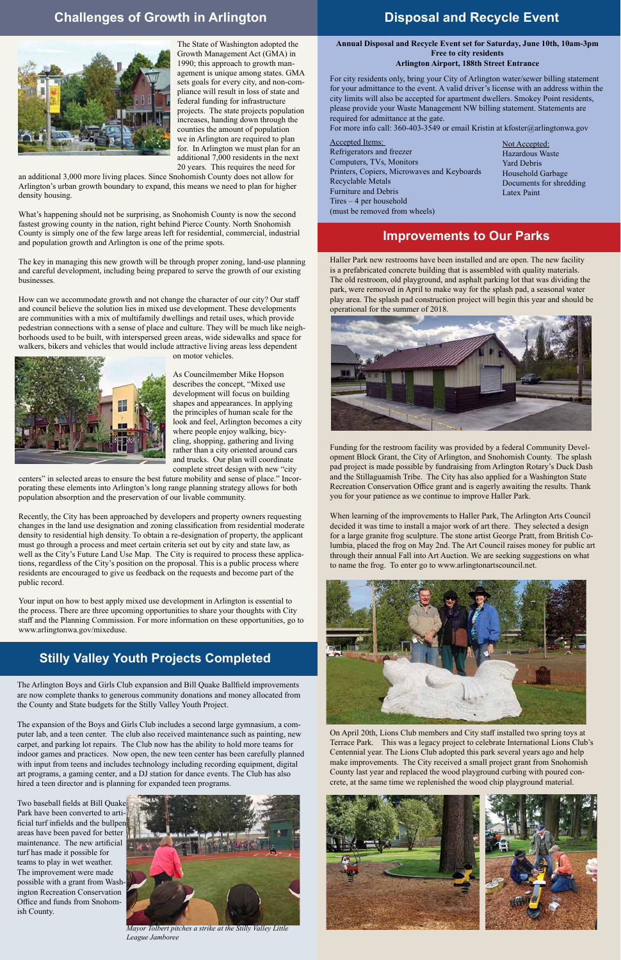# **Challenges of Growth in Arlington**



# **Improvements to Our Parks**

The State of Washington adopted the Growth Management Act (GMA) in 1990; this approach to growth management is unique among states. GMA sets goals for every city, and non-compliance will result in loss of state and federal funding for infrastructure projects. The state projects population increases, handing down through the counties the amount of population we in Arlington are required to plan for. In Arlington we must plan for an additional 7,000 residents in the next 20 years. This requires the need for

an additional 3,000 more living places. Since Snohomish County does not allow for Arlington's urban growth boundary to expand, this means we need to plan for higher density housing.

What's happening should not be surprising, as Snohomish County is now the second fastest growing county in the nation, right behind Pierce County. North Snohomish County is simply one of the few large areas left for residential, commercial, industrial and population growth and Arlington is one of the prime spots.

The key in managing this new growth will be through proper zoning, land-use planning and careful development, including being prepared to serve the growth of our existing businesses.

How can we accommodate growth and not change the character of our city? Our staff and council believe the solution lies in mixed use development. These developments are communities with a mix of multifamily dwellings and retail uses, which provide pedestrian connections with a sense of place and culture. They will be much like neighborhoods used to be built, with interspersed green areas, wide sidewalks and space for walkers, bikers and vehicles that would include attractive living areas less dependent



on motor vehicles.

As Councilmember Mike Hopson describes the concept, "Mixed use development will focus on building shapes and appearances. In applying the principles of human scale for the look and feel, Arlington becomes a city where people enjoy walking, bicycling, shopping, gathering and living rather than a city oriented around cars and trucks. Our plan will coordinate complete street design with new "city

centers" in selected areas to ensure the best future mobility and sense of place." Incorporating these elements into Arlington's long range planning strategy allows for both population absorption and the preservation of our livable community.

Recently, the City has been approached by developers and property owners requesting changes in the land use designation and zoning classification from residential moderate density to residential high density. To obtain a re-designation of property, the applicant must go through a process and meet certain criteria set out by city and state law, as well as the City's Future Land Use Map. The City is required to process these applications, regardless of the City's position on the proposal. This is a public process where residents are encouraged to give us feedback on the requests and become part of the public record.

Your input on how to best apply mixed use development in Arlington is essential to the process. There are three upcoming opportunities to share your thoughts with City staff and the Planning Commission. For more information on these opportunities, go to www.arlingtonwa.gov/mixeduse.

# **Stilly Valley Youth Projects Completed**

Haller Park new restrooms have been installed and are open. The new facility is a prefabricated concrete building that is assembled with quality materials. The old restroom, old playground, and asphalt parking lot that was dividing the park, were removed in April to make way for the splash pad, a seasonal water play area. The splash pad construction project will begin this year and should be operational for the summer of 2018.



Funding for the restroom facility was provided by a federal Community Development Block Grant, the City of Arlington, and Snohomish County. The splash pad project is made possible by fundraising from Arlington Rotary's Duck Dash and the Stillaguamish Tribe. The City has also applied for a Washington State Recreation Conservation Office grant and is eagerly awaiting the results. Thank you for your patience as we continue to improve Haller Park.

When learning of the improvements to Haller Park, The Arlington Arts Council decided it was time to install a major work of art there. They selected a design for a large granite frog sculpture. The stone artist George Pratt, from British Columbia, placed the frog on May 2nd. The Art Council raises money for public art through their annual Fall into Art Auction. We are seeking suggestions on what to name the frog. To enter go to www.arlingtonartscouncil.net.



On April 20th, Lions Club members and City staff installed two spring toys at

Terrace Park. This was a legacy project to celebrate International Lions Club's Centennial year. The Lions Club adopted this park several years ago and help make improvements. The City received a small project grant from Snohomish County last year and replaced the wood playground curbing with poured concrete, at the same time we replenished the wood chip playground material.



The Arlington Boys and Girls Club expansion and Bill Quake Ballfield improvements are now complete thanks to generous community donations and money allocated from the County and State budgets for the Stilly Valley Youth Project.

The expansion of the Boys and Girls Club includes a second large gymnasium, a computer lab, and a teen center. The club also received maintenance such as painting, new carpet, and parking lot repairs. The Club now has the ability to hold more teams for indoor games and practices. Now open, the new teen center has been carefully planned with input from teens and includes technology including recording equipment, digital art programs, a gaming center, and a DJ station for dance events. The Club has also hired a teen director and is planning for expanded teen programs.

Two baseball fields at Bill Quake Park have been converted to artificial turf infields and the bullpen areas have been paved for better maintenance. The new artificial turf has made it possible for teams to play in wet weather. The improvement were made possible with a grant from Washington Recreation Conservation Office and funds from Snohomish County.

#### **Annual Disposal and Recycle Event set for Saturday, June 10th, 10am-3pm Free to city residents Arlington Airport, 188th Street Entrance**

For city residents only, bring your City of Arlington water/sewer billing statement for your admittance to the event. A valid driver's license with an address within the city limits will also be accepted for apartment dwellers. Smokey Point residents, please provide your Waste Management NW billing statement. Statements are required for admittance at the gate.

For more info call: 360-403-3549 or email Kristin at kfoster@arlingtonwa.gov

Accepted Items: Refrigerators and freezer Computers, TVs, Monitors Printers, Copiers, Microwaves and Keyboards Recyclable Metals Furniture and Debris Tires – 4 per household (must be removed from wheels)

Not Accepted: Hazardous Waste Yard Debris Household Garbage Documents for shredding Latex Paint

# **Disposal and Recycle Event**



*Mayor Tolbert pitches a strike at the Stilly Valley Little League Jamboree*